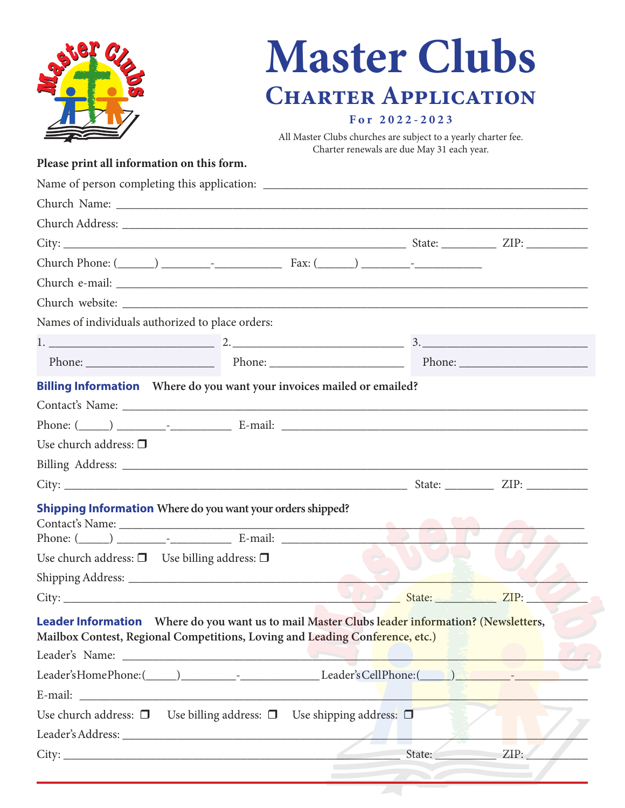|                                                                                                                                                                                                                                | <b>Master Clubs</b>                                            |                                            |      |
|--------------------------------------------------------------------------------------------------------------------------------------------------------------------------------------------------------------------------------|----------------------------------------------------------------|--------------------------------------------|------|
|                                                                                                                                                                                                                                | <b>CHARTER APPLICATION</b>                                     |                                            |      |
|                                                                                                                                                                                                                                | For 2022-2023                                                  |                                            |      |
|                                                                                                                                                                                                                                | All Master Clubs churches are subject to a yearly charter fee. |                                            |      |
| Please print all information on this form.                                                                                                                                                                                     |                                                                | Charter renewals are due May 31 each year. |      |
|                                                                                                                                                                                                                                |                                                                |                                            |      |
|                                                                                                                                                                                                                                |                                                                |                                            |      |
|                                                                                                                                                                                                                                |                                                                |                                            |      |
|                                                                                                                                                                                                                                |                                                                |                                            |      |
|                                                                                                                                                                                                                                |                                                                |                                            |      |
|                                                                                                                                                                                                                                |                                                                |                                            |      |
|                                                                                                                                                                                                                                |                                                                |                                            |      |
| Names of individuals authorized to place orders:                                                                                                                                                                               |                                                                |                                            |      |
|                                                                                                                                                                                                                                |                                                                |                                            |      |
| Phone: Phone: Phone: Phone: Phone: Phone: Phone: Phone: Phone: Phone: Phone: Phone: Phone: Phone: Phone: Phone: Phone: Phone: Phone: Phone: Phone: Phone: Phone: Phone: Phone: Phone: Phone: Phone: Phone: Phone: Phone: Phone |                                                                |                                            |      |
| <b>Billing Information</b> Where do you want your invoices mailed or emailed?                                                                                                                                                  |                                                                |                                            |      |
|                                                                                                                                                                                                                                |                                                                |                                            |      |
|                                                                                                                                                                                                                                |                                                                |                                            |      |
| Use church address: $\Box$                                                                                                                                                                                                     |                                                                |                                            |      |
|                                                                                                                                                                                                                                |                                                                |                                            |      |
|                                                                                                                                                                                                                                |                                                                | State:                                     | ZIP: |
|                                                                                                                                                                                                                                |                                                                |                                            |      |
| <b>Shipping Information</b> Where do you want your orders shipped?                                                                                                                                                             |                                                                |                                            |      |
|                                                                                                                                                                                                                                |                                                                |                                            |      |
| Use church address: $\square$ Use billing address: $\square$                                                                                                                                                                   |                                                                |                                            |      |
|                                                                                                                                                                                                                                |                                                                |                                            |      |
|                                                                                                                                                                                                                                |                                                                |                                            |      |
| Leader Information Where do you want us to mail Master Clubs leader information? (Newsletters,<br>Mailbox Contest, Regional Competitions, Loving and Leading Conference, etc.)                                                 |                                                                |                                            |      |
|                                                                                                                                                                                                                                |                                                                |                                            |      |
| Leader's Home Phone: (Campbell 2014) [2015] Leader's Cell Phone: (Campbell 2016) [2016] [2016] [2016] [2016] [                                                                                                                 |                                                                |                                            |      |
|                                                                                                                                                                                                                                |                                                                |                                            |      |
| Use church address: $\Box$ Use billing address: $\Box$ Use shipping address: $\Box$                                                                                                                                            |                                                                |                                            |      |
|                                                                                                                                                                                                                                |                                                                |                                            |      |
|                                                                                                                                                                                                                                |                                                                |                                            |      |
|                                                                                                                                                                                                                                |                                                                |                                            |      |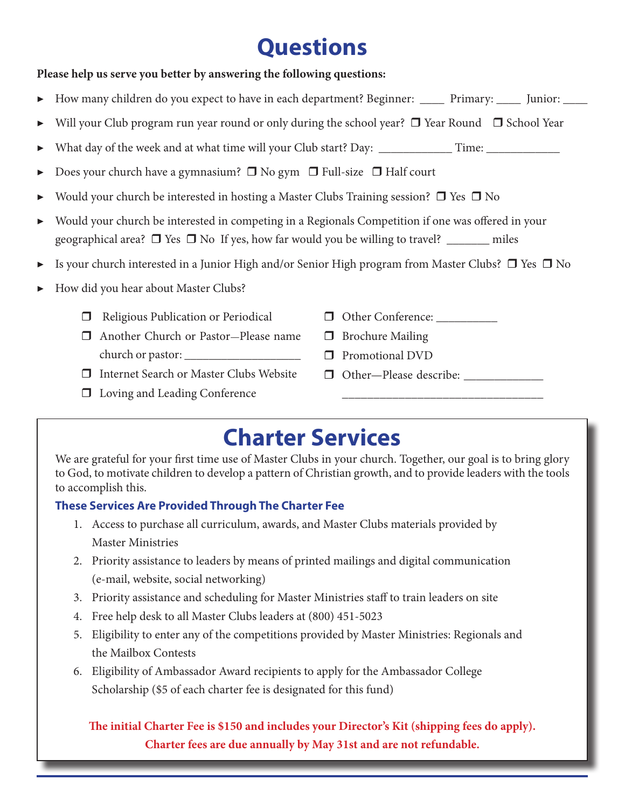# **Questions**

# **Please help us serve you better by answering the following questions:** How many children do you expect to have in each department? Beginner: \_\_\_\_ Primary: \_\_\_\_ Junior: \_\_\_\_ Will your Club program run year round or only during the school year?  $\Box$  Year Round  $\Box$  School Year What day of the week and at what time will your Club start? Day: \_\_\_\_\_\_\_\_\_\_\_\_\_\_\_ Time: \_\_\_\_\_\_\_\_\_\_\_\_\_ Does your church have a gymnasium?  $\Box$  No gym  $\Box$  Full-size  $\Box$  Half court Would your church be interested in hosting a Master Clubs Training session?  $\Box$  Yes  $\Box$  No ▶ Would your church be interested in competing in a Regionals Competition if one was offered in your geographical area?  $\Box$  Yes  $\Box$  No If yes, how far would you be willing to travel? \_\_\_\_\_\_\_ miles  $\triangleright$  Is your church interested in a Junior High and/or Senior High program from Master Clubs?  $\Box$  Yes  $\Box$  No ▶ How did you hear about Master Clubs?  $\Box$  Religious Publication or Periodical  $\Box$  Another Church or Pastor-Please name church or pastor:  $\Box$  Internet Search or Master Clubs Website  $\Box$  Loving and Leading Conference r Other Conference: \_\_\_\_\_\_\_\_\_\_  $\Box$  Brochure Mailing  $\square$  Promotional DVD  $\Box$  Other—Please describe: \_\_\_\_\_\_\_\_\_\_\_\_\_\_\_\_\_\_\_\_\_\_\_\_\_\_\_\_\_\_\_\_

# **Charter Services**

We are grateful for your first time use of Master Clubs in your church. Together, our goal is to bring glory to God, to motivate children to develop a pattern of Christian growth, and to provide leaders with the tools to accomplish this.

# **These Services Are Provided Through The Charter Fee**

- 1. Access to purchase all curriculum, awards, and Master Clubs materials provided by Master Ministries
- 2. Priority assistance to leaders by means of printed mailings and digital communication (e-mail, website, social networking)
- 3. Priority assistance and scheduling for Master Ministries staff to train leaders on site
- 4. Free help desk to all Master Clubs leaders at (800) 451-5023
- 5. Eligibility to enter any of the competitions provided by Master Ministries: Regionals and the Mailbox Contests
- 6. Eligibility of Ambassador Award recipients to apply for the Ambassador College Scholarship (\$5 of each charter fee is designated for this fund)

**The initial Charter Fee is \$150 and includes your Director's Kit (shipping fees do apply). Charter fees are due annually by May 31st and are not refundable.**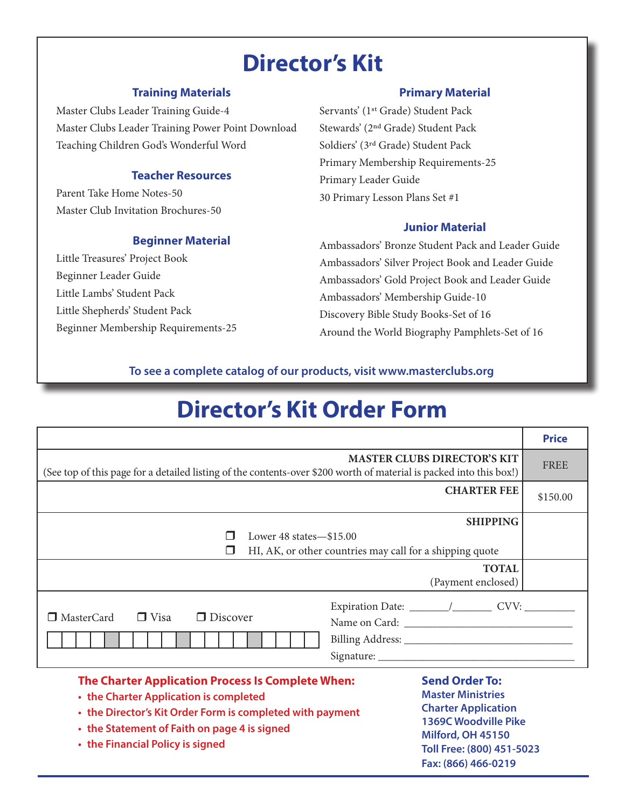# **Director's Kit**

## **Training Materials**

Master Clubs Leader Training Guide-4 Master Clubs Leader Training Power Point Download Teaching Children God's Wonderful Word

# **Teacher Resources**

Parent Take Home Notes-50 Master Club Invitation Brochures-50

# **Beginner Material**

Little Treasures' Project Book Beginner Leader Guide Little Lambs' Student Pack Little Shepherds' Student Pack Beginner Membership Requirements-25

## **Primary Material**

Servants' (1st Grade) Student Pack Stewards' (2nd Grade) Student Pack Soldiers' (3rd Grade) Student Pack Primary Membership Requirements-25 Primary Leader Guide 30 Primary Lesson Plans Set #1

### **Junior Material**

Ambassadors' Bronze Student Pack and Leader Guide Ambassadors' Silver Project Book and Leader Guide Ambassadors' Gold Project Book and Leader Guide Ambassadors' Membership Guide-10 Discovery Bible Study Books-Set of 16 Around the World Biography Pamphlets-Set of 16

# **To see a complete catalog of our products, visit www.masterclubs.org**

# **Director's Kit Order Form**

|                                                                                                                                                           |  |                    | <b>Price</b> |  |  |
|-----------------------------------------------------------------------------------------------------------------------------------------------------------|--|--------------------|--------------|--|--|
| <b>MASTER CLUBS DIRECTOR'S KIT</b><br>(See top of this page for a detailed listing of the contents-over \$200 worth of material is packed into this box!) |  |                    | <b>FREE</b>  |  |  |
|                                                                                                                                                           |  | <b>CHARTER FEE</b> | \$150.00     |  |  |
|                                                                                                                                                           |  | <b>SHIPPING</b>    |              |  |  |
| Lower $48 \text{ states} - $15.00$                                                                                                                        |  |                    |              |  |  |
| HI, AK, or other countries may call for a shipping quote<br>H                                                                                             |  |                    |              |  |  |
|                                                                                                                                                           |  | <b>TOTAL</b>       |              |  |  |
|                                                                                                                                                           |  | (Payment enclosed) |              |  |  |
|                                                                                                                                                           |  |                    |              |  |  |
| $\Box$ Visa<br>$\Box$ MasterCard<br>$\Box$ Discover                                                                                                       |  |                    |              |  |  |
|                                                                                                                                                           |  |                    |              |  |  |
|                                                                                                                                                           |  |                    |              |  |  |
| <b>Send Order To:</b><br>The Charter Application Process Is Complete When:                                                                                |  |                    |              |  |  |

- **• the Charter Application is completed**
- **• the Director's Kit Order Form is completed with payment**
- **• the Statement of Faith on page 4 is signed**
- **• the Financial Policy is signed**

# **Master Ministries Charter Application 1369C Woodville Pike Milford, OH 45150 Toll Free: (800) 451-5023 Fax: (866) 466-0219**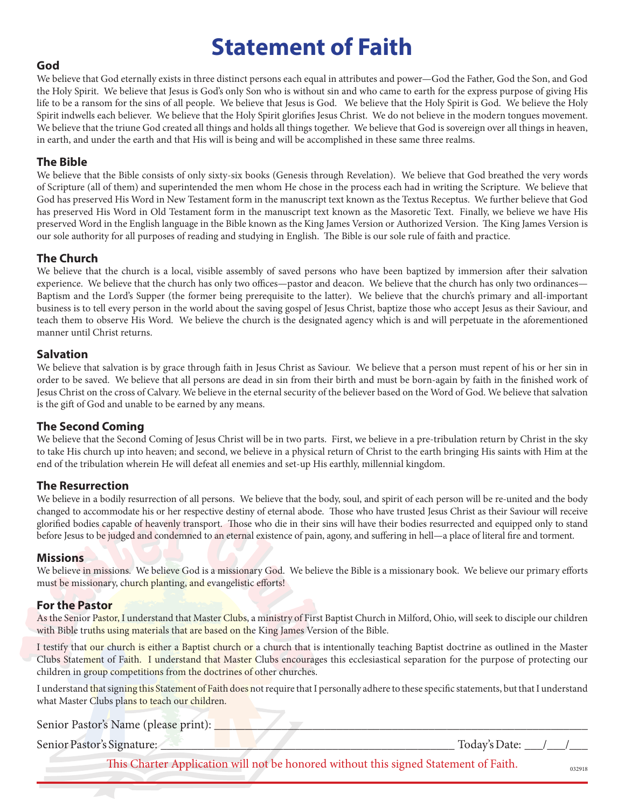# **Statement of Faith**

# **God**

We believe that God eternally exists in three distinct persons each equal in attributes and power—God the Father, God the Son, and God the Holy Spirit. We believe that Jesus is God's only Son who is without sin and who came to earth for the express purpose of giving His life to be a ransom for the sins of all people. We believe that Jesus is God. We believe that the Holy Spirit is God. We believe the Holy Spirit indwells each believer. We believe that the Holy Spirit glorifies Jesus Christ. We do not believe in the modern tongues movement. We believe that the triune God created all things and holds all things together. We believe that God is sovereign over all things in heaven, in earth, and under the earth and that His will is being and will be accomplished in these same three realms.

# **The Bible**

We believe that the Bible consists of only sixty-six books (Genesis through Revelation). We believe that God breathed the very words of Scripture (all of them) and superintended the men whom He chose in the process each had in writing the Scripture. We believe that God has preserved His Word in New Testament form in the manuscript text known as the Textus Receptus. We further believe that God has preserved His Word in Old Testament form in the manuscript text known as the Masoretic Text. Finally, we believe we have His preserved Word in the English language in the Bible known as the King James Version or Authorized Version. The King James Version is our sole authority for all purposes of reading and studying in English. The Bible is our sole rule of faith and practice.

# **The Church**

We believe that the church is a local, visible assembly of saved persons who have been baptized by immersion after their salvation experience. We believe that the church has only two offices—pastor and deacon. We believe that the church has only two ordinances— Baptism and the Lord's Supper (the former being prerequisite to the latter). We believe that the church's primary and all-important business is to tell every person in the world about the saving gospel of Jesus Christ, baptize those who accept Jesus as their Saviour, and teach them to observe His Word. We believe the church is the designated agency which is and will perpetuate in the aforementioned manner until Christ returns.

### **Salvation**

We believe that salvation is by grace through faith in Jesus Christ as Saviour. We believe that a person must repent of his or her sin in order to be saved. We believe that all persons are dead in sin from their birth and must be born-again by faith in the finished work of Jesus Christ on the cross of Calvary. We believe in the eternal security of the believer based on the Word of God. We believe that salvation is the gift of God and unable to be earned by any means.

### **The Second Coming**

We believe that the Second Coming of Jesus Christ will be in two parts. First, we believe in a pre-tribulation return by Christ in the sky to take His church up into heaven; and second, we believe in a physical return of Christ to the earth bringing His saints with Him at the end of the tribulation wherein He will defeat all enemies and set-up His earthly, millennial kingdom.

### **The Resurrection**

We believe in a bodily resurrection of all persons. We believe that the body, soul, and spirit of each person will be re-united and the body changed to accommodate his or her respective destiny of eternal abode. Those who have trusted Jesus Christ as their Saviour will receive glorified bodies capable of heavenly transport. Those who die in their sins will have their bodies resurrected and equipped only to stand before Jesus to be judged and condemned to an eternal existence of pain, agony, and suffering in hell—a place of literal fire and torment.

#### **Missions**

We believe in missions. We believe God is a missionary God. We believe the Bible is a missionary book. We believe our primary efforts must be missionary, church planting, and evangelistic efforts!

### **For the Pastor**

As the Senior Pastor, I understand that Master Clubs, a ministry of First Baptist Church in Milford, Ohio, will seek to disciple our children with Bible truths using materials that are based on the King James Version of the Bible.

I testify that our church is either a Baptist church or a church that is intentionally teaching Baptist doctrine as outlined in the Master Clubs Statement of Faith. I understand that Master Clubs encourages this ecclesiastical separation for the purpose of protecting our children in group competitions from the doctrines of other churches.

I understand that signing this Statement of Faith does not require that I personally adhere to these specific statements, but that I understand what Master Clubs plans to teach our children.

Senior Pastor's Name (please print): \_\_\_\_\_\_\_\_\_\_\_\_\_\_\_\_\_\_\_\_\_\_\_\_\_\_\_\_\_\_\_\_\_\_\_\_\_\_\_\_\_\_\_\_\_\_\_\_\_\_\_\_\_\_\_\_\_\_\_\_\_

Senior Pastor's Signature: \_\_\_\_\_\_\_\_\_\_\_\_\_\_\_\_\_\_\_\_\_\_\_\_\_\_\_\_\_\_\_\_\_\_\_\_\_\_\_\_\_\_\_\_\_\_\_\_ Today's Date: \_\_\_/\_\_\_/\_\_\_

This Charter Application will not be honored without this signed Statement of Faith.